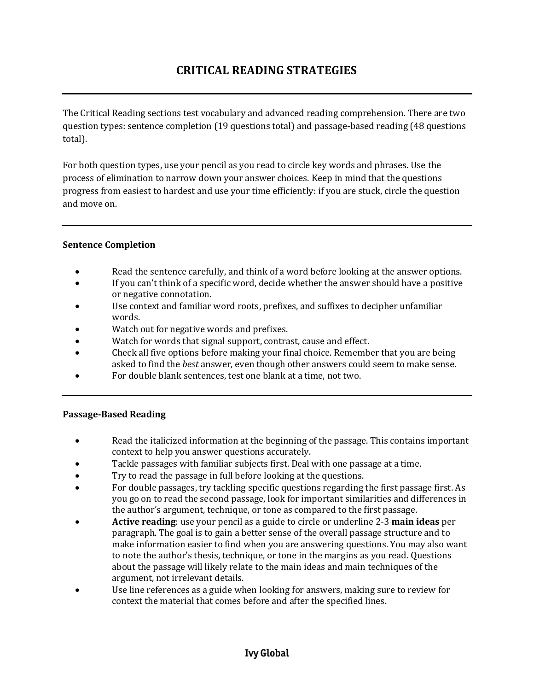The Critical Reading sections test vocabulary and advanced reading comprehension. There are two question types: sentence completion (19 questions total) and passage-based reading (48 questions total).

For both question types, use your pencil as you read to circle key words and phrases. Use the process of elimination to narrow down your answer choices. Keep in mind that the questions progress from easiest to hardest and use your time efficiently: if you are stuck, circle the question and move on.

## **Sentence Completion**

- Read the sentence carefully, and think of a word before looking at the answer options.
- If you can't think of a specific word, decide whether the answer should have a positive or negative connotation.
- Use context and familiar word roots, prefixes, and suffixes to decipher unfamiliar words.
- Watch out for negative words and prefixes.
- Watch for words that signal support, contrast, cause and effect.
- Check all five options before making your final choice. Remember that you are being asked to find the *best* answer, even though other answers could seem to make sense.
- For double blank sentences, test one blank at a time, not two.

## **Passage-Based Reading**

- Read the italicized information at the beginning of the passage. This contains important context to help you answer questions accurately.
- Tackle passages with familiar subjects first. Deal with one passage at a time.
- Try to read the passage in full before looking at the questions.
- For double passages, try tackling specific questions regarding the first passage first. As you go on to read the second passage, look for important similarities and differences in the author's argument, technique, or tone as compared to the first passage.
- **Active reading**: use your pencil as a guide to circle or underline 2-3 **main ideas** per paragraph. The goal is to gain a better sense of the overall passage structure and to make information easier to find when you are answering questions. You may also want to note the author's thesis, technique, or tone in the margins as you read. Questions about the passage will likely relate to the main ideas and main techniques of the argument, not irrelevant details.
- Use line references as a guide when looking for answers, making sure to review for context the material that comes before and after the specified lines.